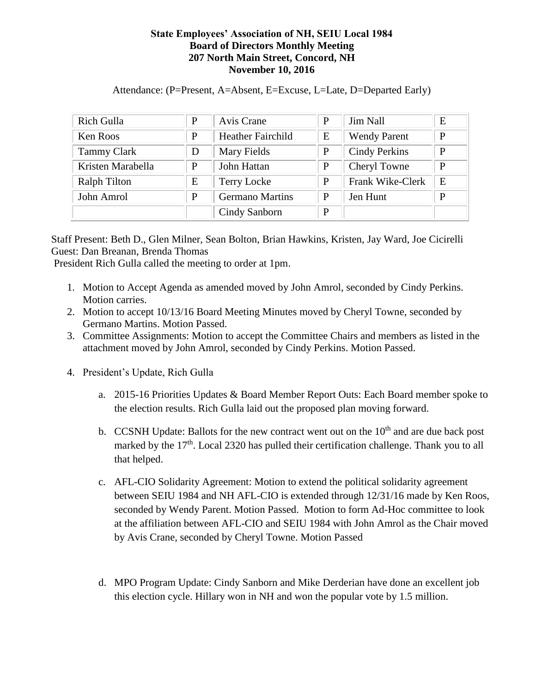## **State Employees' Association of NH, SEIU Local 1984 Board of Directors Monthly Meeting 207 North Main Street, Concord, NH November 10, 2016**

| Rich Gulla          | P | Avis Crane               | P | <b>Jim Nall</b>      | E            |
|---------------------|---|--------------------------|---|----------------------|--------------|
| Ken Roos            | P | <b>Heather Fairchild</b> | E | <b>Wendy Parent</b>  | $\mathbf{P}$ |
| <b>Tammy Clark</b>  | D | Mary Fields              | P | <b>Cindy Perkins</b> | $\mathbf{P}$ |
| Kristen Marabella   | P | John Hattan              | P | Cheryl Towne         | $\mathbf{P}$ |
| <b>Ralph Tilton</b> | Ε | <b>Terry Locke</b>       | P | Frank Wike-Clerk     | E            |
| John Amrol          | P | <b>Germano Martins</b>   | P | Jen Hunt             | P            |
|                     |   | Cindy Sanborn            | P |                      |              |

Attendance: (P=Present, A=Absent, E=Excuse, L=Late, D=Departed Early)

Staff Present: Beth D., Glen Milner, Sean Bolton, Brian Hawkins, Kristen, Jay Ward, Joe Cicirelli Guest: Dan Breanan, Brenda Thomas

President Rich Gulla called the meeting to order at 1pm.

- 1. Motion to Accept Agenda as amended moved by John Amrol, seconded by Cindy Perkins. Motion carries.
- 2. Motion to accept 10/13/16 Board Meeting Minutes moved by Cheryl Towne, seconded by Germano Martins. Motion Passed.
- 3. Committee Assignments: Motion to accept the Committee Chairs and members as listed in the attachment moved by John Amrol, seconded by Cindy Perkins. Motion Passed.
- 4. President's Update, Rich Gulla
	- a. 2015-16 Priorities Updates & Board Member Report Outs: Each Board member spoke to the election results. Rich Gulla laid out the proposed plan moving forward.
	- b. CCSNH Update: Ballots for the new contract went out on the  $10<sup>th</sup>$  and are due back post marked by the  $17<sup>th</sup>$ . Local 2320 has pulled their certification challenge. Thank you to all that helped.
	- c. AFL-CIO Solidarity Agreement: Motion to extend the political solidarity agreement between SEIU 1984 and NH AFL-CIO is extended through 12/31/16 made by Ken Roos, seconded by Wendy Parent. Motion Passed. Motion to form Ad-Hoc committee to look at the affiliation between AFL-CIO and SEIU 1984 with John Amrol as the Chair moved by Avis Crane, seconded by Cheryl Towne. Motion Passed
	- d. MPO Program Update: Cindy Sanborn and Mike Derderian have done an excellent job this election cycle. Hillary won in NH and won the popular vote by 1.5 million.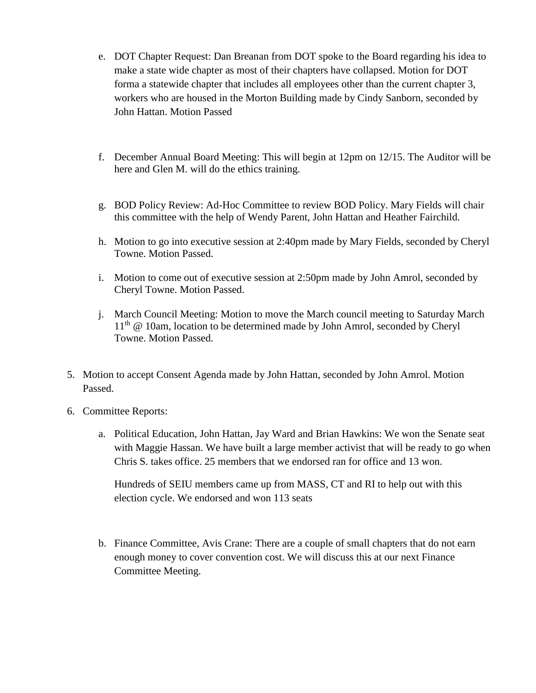- e. DOT Chapter Request: Dan Breanan from DOT spoke to the Board regarding his idea to make a state wide chapter as most of their chapters have collapsed. Motion for DOT forma a statewide chapter that includes all employees other than the current chapter 3, workers who are housed in the Morton Building made by Cindy Sanborn, seconded by John Hattan. Motion Passed
- f. December Annual Board Meeting: This will begin at 12pm on 12/15. The Auditor will be here and Glen M. will do the ethics training.
- g. BOD Policy Review: Ad-Hoc Committee to review BOD Policy. Mary Fields will chair this committee with the help of Wendy Parent, John Hattan and Heather Fairchild.
- h. Motion to go into executive session at 2:40pm made by Mary Fields, seconded by Cheryl Towne. Motion Passed.
- i. Motion to come out of executive session at 2:50pm made by John Amrol, seconded by Cheryl Towne. Motion Passed.
- j. March Council Meeting: Motion to move the March council meeting to Saturday March 11<sup>th</sup> @ 10am, location to be determined made by John Amrol, seconded by Cheryl Towne. Motion Passed.
- 5. Motion to accept Consent Agenda made by John Hattan, seconded by John Amrol. Motion Passed.
- 6. Committee Reports:
	- a. Political Education, John Hattan, Jay Ward and Brian Hawkins: We won the Senate seat with Maggie Hassan. We have built a large member activist that will be ready to go when Chris S. takes office. 25 members that we endorsed ran for office and 13 won.

Hundreds of SEIU members came up from MASS, CT and RI to help out with this election cycle. We endorsed and won 113 seats

b. Finance Committee, Avis Crane: There are a couple of small chapters that do not earn enough money to cover convention cost. We will discuss this at our next Finance Committee Meeting.